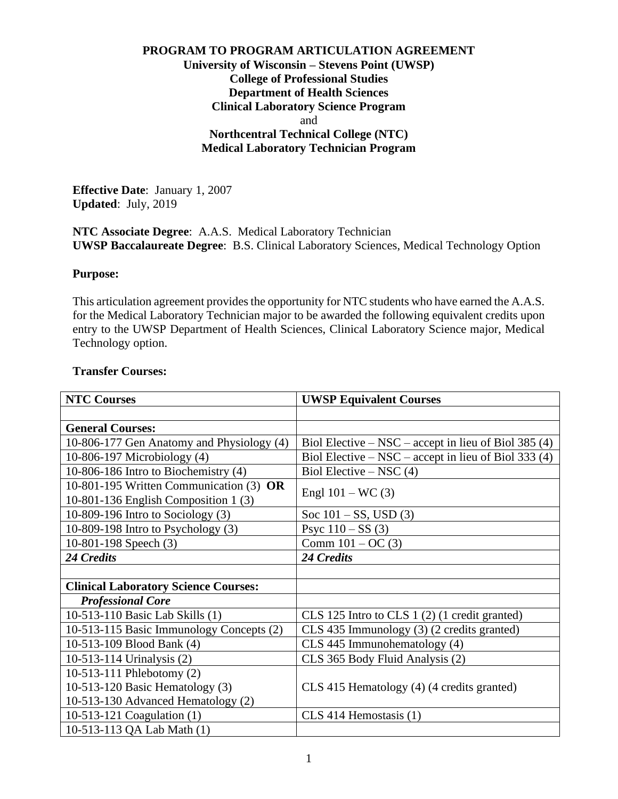## **PROGRAM TO PROGRAM ARTICULATION AGREEMENT University of Wisconsin – Stevens Point (UWSP) College of Professional Studies Department of Health Sciences Clinical Laboratory Science Program** and **Northcentral Technical College (NTC) Medical Laboratory Technician Program**

**Effective Date**: January 1, 2007 **Updated**: July, 2019

**NTC Associate Degree**: A.A.S. Medical Laboratory Technician **UWSP Baccalaureate Degree**: B.S. Clinical Laboratory Sciences, Medical Technology Option

### **Purpose:**

This articulation agreement provides the opportunity for NTC students who have earned the A.A.S. for the Medical Laboratory Technician major to be awarded the following equivalent credits upon entry to the UWSP Department of Health Sciences, Clinical Laboratory Science major, Medical Technology option.

#### **Transfer Courses:**

| <b>NTC Courses</b>                                                              | <b>UWSP Equivalent Courses</b>                         |
|---------------------------------------------------------------------------------|--------------------------------------------------------|
|                                                                                 |                                                        |
| <b>General Courses:</b>                                                         |                                                        |
| 10-806-177 Gen Anatomy and Physiology (4)                                       | Biol Elective – NSC – accept in lieu of Biol 385 $(4)$ |
| 10-806-197 Microbiology (4)                                                     | Biol Elective – NSC – accept in lieu of Biol 333 (4)   |
| 10-806-186 Intro to Biochemistry (4)                                            | Biol Elective – NSC $(4)$                              |
| 10-801-195 Written Communication (3) OR<br>10-801-136 English Composition 1 (3) | Engl $101 - WC(3)$                                     |
| 10-809-196 Intro to Sociology $(3)$                                             | Soc $101 - SS$ , USD (3)                               |
| $10-809-198$ Intro to Psychology $(3)$                                          | Psyc $110 - SS(3)$                                     |
| 10-801-198 Speech (3)                                                           | Comm $101 - OC(3)$                                     |
| 24 Credits                                                                      | 24 Credits                                             |
|                                                                                 |                                                        |
| <b>Clinical Laboratory Science Courses:</b>                                     |                                                        |
| <b>Professional Core</b>                                                        |                                                        |
| 10-513-110 Basic Lab Skills (1)                                                 | CLS 125 Intro to CLS 1 (2) (1 credit granted)          |
| 10-513-115 Basic Immunology Concepts (2)                                        | CLS 435 Immunology (3) (2 credits granted)             |
| 10-513-109 Blood Bank (4)                                                       | CLS 445 Immunohematology (4)                           |
| 10-513-114 Urinalysis (2)                                                       | CLS 365 Body Fluid Analysis (2)                        |
| 10-513-111 Phlebotomy (2)                                                       |                                                        |
| 10-513-120 Basic Hematology $(3)$                                               | CLS 415 Hematology (4) (4 credits granted)             |
| 10-513-130 Advanced Hematology (2)                                              |                                                        |
| 10-513-121 Coagulation (1)                                                      | $CLS$ 414 Hemostasis (1)                               |
|                                                                                 |                                                        |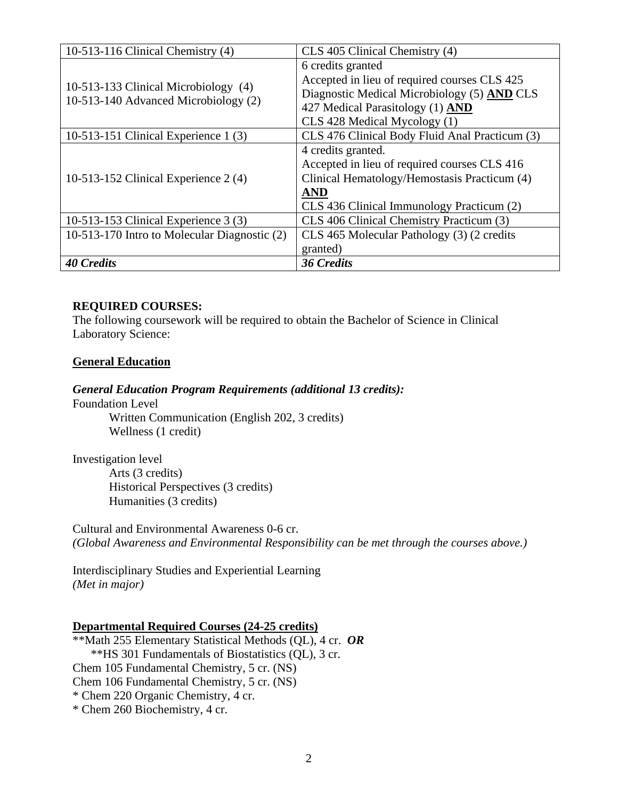| 10-513-116 Clinical Chemistry $(4)$                                          | CLS 405 Clinical Chemistry (4)                 |
|------------------------------------------------------------------------------|------------------------------------------------|
| 10-513-133 Clinical Microbiology (4)<br>10-513-140 Advanced Microbiology (2) | 6 credits granted                              |
|                                                                              | Accepted in lieu of required courses CLS 425   |
|                                                                              | Diagnostic Medical Microbiology (5) AND CLS    |
|                                                                              | 427 Medical Parasitology (1) AND               |
|                                                                              | CLS 428 Medical Mycology (1)                   |
| 10-513-151 Clinical Experience $1(3)$                                        | CLS 476 Clinical Body Fluid Anal Practicum (3) |
|                                                                              | 4 credits granted.                             |
| 10-513-152 Clinical Experience $2(4)$                                        | Accepted in lieu of required courses CLS 416   |
|                                                                              | Clinical Hematology/Hemostasis Practicum (4)   |
|                                                                              | <b>AND</b>                                     |
|                                                                              | CLS 436 Clinical Immunology Practicum (2)      |
| 10-513-153 Clinical Experience 3 (3)                                         | CLS 406 Clinical Chemistry Practicum (3)       |
| 10-513-170 Intro to Molecular Diagnostic (2)                                 | CLS 465 Molecular Pathology (3) (2 credits     |
|                                                                              | granted)                                       |
| <b>40 Credits</b>                                                            | <b>36 Credits</b>                              |

# **REQUIRED COURSES:**

The following coursework will be required to obtain the Bachelor of Science in Clinical Laboratory Science:

### **General Education**

#### *General Education Program Requirements (additional 13 credits):*

Foundation Level Written Communication (English 202, 3 credits) Wellness (1 credit)

Investigation level Arts (3 credits) Historical Perspectives (3 credits) Humanities (3 credits)

Cultural and Environmental Awareness 0-6 cr. *(Global Awareness and Environmental Responsibility can be met through the courses above.)* 

Interdisciplinary Studies and Experiential Learning *(Met in major)*

### **Departmental Required Courses (24-25 credits)**

\*\*Math 255 Elementary Statistical Methods (QL), 4 cr. *OR* \*\*HS 301 Fundamentals of Biostatistics (QL), 3 cr. Chem 105 Fundamental Chemistry, 5 cr. (NS) Chem 106 Fundamental Chemistry, 5 cr. (NS) \* Chem 220 Organic Chemistry, 4 cr. \* Chem 260 Biochemistry, 4 cr.